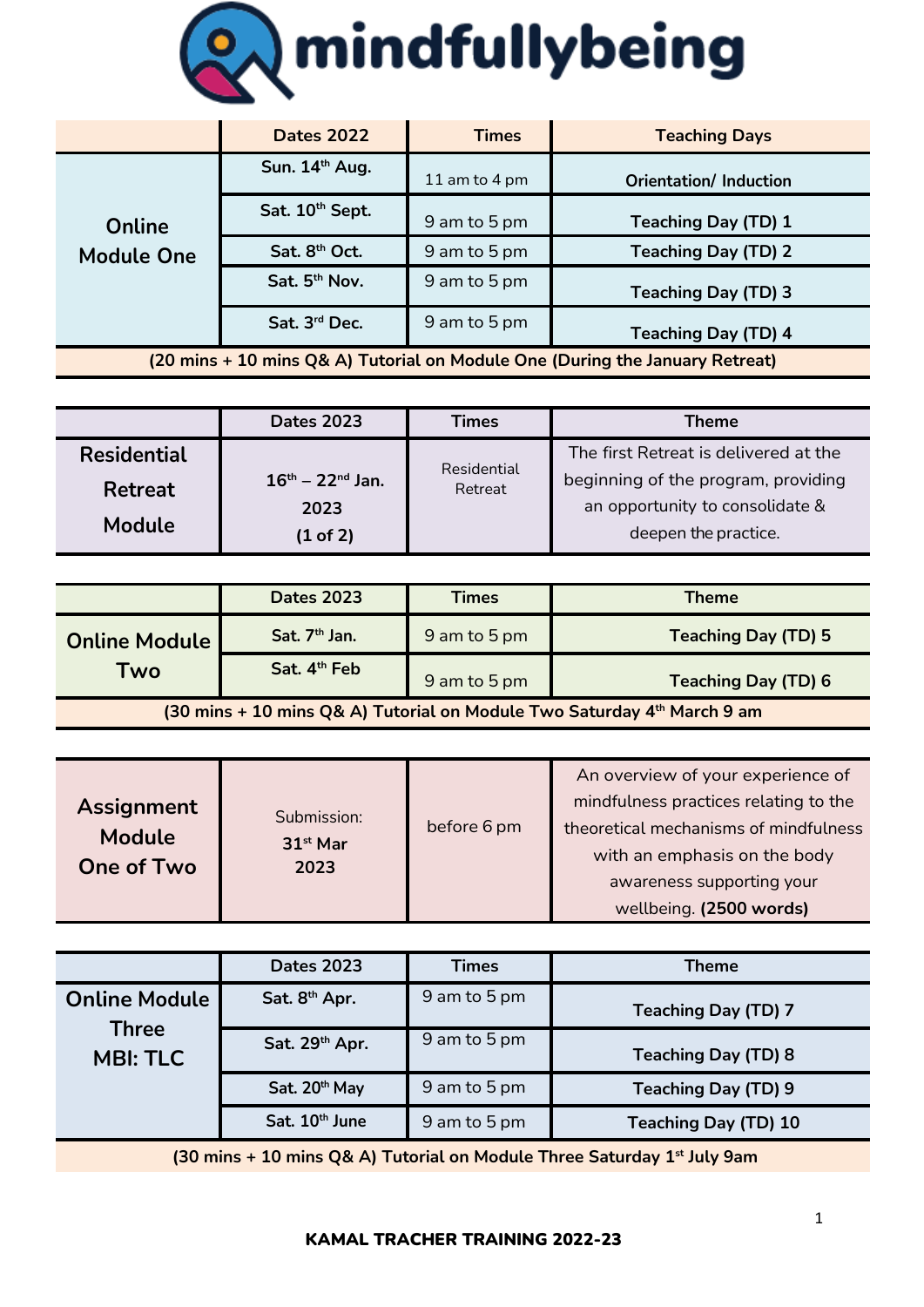

|                                                                              | <b>Dates 2022</b>         | <b>Times</b>  | <b>Teaching Days</b>         |
|------------------------------------------------------------------------------|---------------------------|---------------|------------------------------|
| Online<br><b>Module One</b>                                                  | Sun. 14th Aug.            | 11 am to 4 pm | <b>Orientation/Induction</b> |
|                                                                              | Sat. 10th Sept.           | 9 am to 5 pm  | <b>Teaching Day (TD) 1</b>   |
|                                                                              | Sat. 8 <sup>th</sup> Oct. | 9 am to 5 pm  | <b>Teaching Day (TD) 2</b>   |
|                                                                              | Sat. 5 <sup>th</sup> Nov. | 9 am to 5 pm  | <b>Teaching Day (TD) 3</b>   |
|                                                                              | Sat. 3rd Dec.             | 9 am to 5 pm  | <b>Teaching Day (TD) 4</b>   |
| (20 mins + 10 mins Q& A) Tutorial on Module One (During the January Retreat) |                           |               |                              |

|                    | <b>Dates 2023</b>        | Times       | <b>Theme</b>                          |
|--------------------|--------------------------|-------------|---------------------------------------|
| <b>Residential</b> |                          | Residential | The first Retreat is delivered at the |
| Retreat            | $16^{th} - 22^{nd}$ Jan. | Retreat     | beginning of the program, providing   |
|                    | 2023                     |             | an opportunity to consolidate &       |
| Module             | (1 of 2)                 |             | deepen the practice.                  |

|                                                                         | <b>Dates 2023</b>        | <b>Times</b> | <b>Theme</b>               |
|-------------------------------------------------------------------------|--------------------------|--------------|----------------------------|
| <b>Online Module</b>                                                    | Sat. $7th$ Jan.          | 9 am to 5 pm | <b>Teaching Day (TD) 5</b> |
| Two                                                                     | Sat. 4 <sup>th</sup> Feb | 9 am to 5 pm | <b>Teaching Day (TD) 6</b> |
| (30 mins + 10 mins Q& A) Tutorial on Module Two Saturday 4th March 9 am |                          |              |                            |

|                                                                                     | <b>Dates 2023</b>         | Times        | Theme                       |
|-------------------------------------------------------------------------------------|---------------------------|--------------|-----------------------------|
| <b>Online Module</b>                                                                | Sat. 8 <sup>th</sup> Apr. | 9 am to 5 pm | <b>Teaching Day (TD) 7</b>  |
| <b>Three</b><br><b>MBI: TLC</b>                                                     | Sat. 29th Apr.            | 9 am to 5 pm | <b>Teaching Day (TD) 8</b>  |
|                                                                                     | Sat. 20th May             | 9 am to 5 pm | <b>Teaching Day (TD) 9</b>  |
|                                                                                     | Sat. 10th June            | 9 am to 5 pm | <b>Teaching Day (TD) 10</b> |
| (30 mins + 10 mins Q& A) Tutorial on Module Three Saturday 1 <sup>st</sup> July 9am |                           |              |                             |